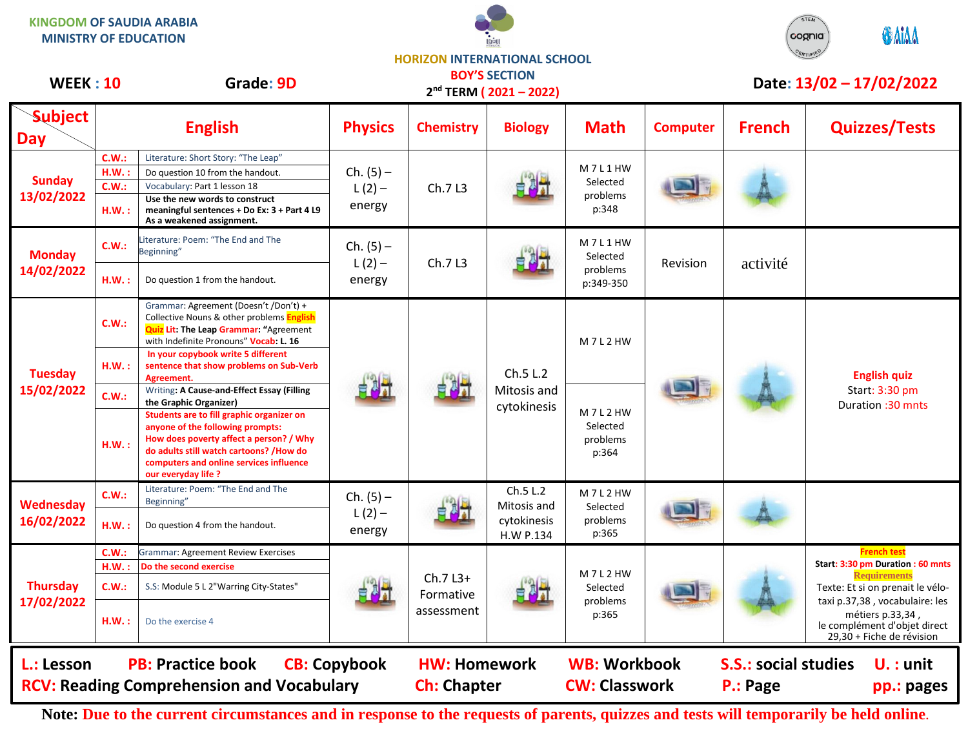**KINGDOM OF SAUDIA ARABIA MINISTRY OF EDUCATION**





**HORIZON INTERNATIONAL SCHOOL**

| <b>WEEK: 10</b>               |                                                                                                                              | Grade: 9D                                                                                                                                                                                                                             |                                   |                                      | <b>BOY'S SECTION</b><br>2 <sup>nd</sup> TERM (2021-2022) |                                             |                 |               | Date: 13/02 - 17/02/2022                                                                                                                                                                                                                                          |
|-------------------------------|------------------------------------------------------------------------------------------------------------------------------|---------------------------------------------------------------------------------------------------------------------------------------------------------------------------------------------------------------------------------------|-----------------------------------|--------------------------------------|----------------------------------------------------------|---------------------------------------------|-----------------|---------------|-------------------------------------------------------------------------------------------------------------------------------------------------------------------------------------------------------------------------------------------------------------------|
| <b>Subject</b><br><b>Day</b>  |                                                                                                                              | <b>English</b>                                                                                                                                                                                                                        | <b>Physics</b>                    | <b>Chemistry</b>                     | <b>Biology</b>                                           | <b>Math</b>                                 | <b>Computer</b> | <b>French</b> | <b>Quizzes/Tests</b>                                                                                                                                                                                                                                              |
| <b>Sunday</b><br>13/02/2022   | C.W.:                                                                                                                        | Literature: Short Story: "The Leap"                                                                                                                                                                                                   | $Ch. (5) -$                       |                                      |                                                          | M7L1HW                                      |                 |               |                                                                                                                                                                                                                                                                   |
|                               | H.W.:                                                                                                                        | Do question 10 from the handout.                                                                                                                                                                                                      |                                   |                                      |                                                          |                                             |                 |               |                                                                                                                                                                                                                                                                   |
|                               | C.W.:<br>Vocabulary: Part 1 lesson 18                                                                                        |                                                                                                                                                                                                                                       | $L(2) -$                          | Ch.7L3                               |                                                          | Selected<br>problems                        |                 |               |                                                                                                                                                                                                                                                                   |
|                               | H.W.:                                                                                                                        | Use the new words to construct<br>meaningful sentences + Do Ex: 3 + Part 4 L9<br>As a weakened assignment.                                                                                                                            | energy                            |                                      |                                                          | p:348                                       |                 |               |                                                                                                                                                                                                                                                                   |
| <b>Monday</b><br>14/02/2022   | C.W.:                                                                                                                        | Literature: Poem: "The End and The<br>Beginning"                                                                                                                                                                                      | $Ch. (5) -$<br>$L(2) -$<br>energy | Ch.7L3                               |                                                          | M7L1HW<br>Selected<br>problems<br>p:349-350 | Revision        | activité      |                                                                                                                                                                                                                                                                   |
|                               | H.W.:                                                                                                                        | Do question 1 from the handout.                                                                                                                                                                                                       |                                   |                                      |                                                          |                                             |                 |               |                                                                                                                                                                                                                                                                   |
| <b>Tuesday</b><br>15/02/2022  | C.W.:                                                                                                                        | Grammar: Agreement (Doesn't /Don't) +<br>Collective Nouns & other problems English<br><b>Quiz Lit: The Leap Grammar: "Agreement</b><br>with Indefinite Pronouns" Vocab: L. 16                                                         |                                   |                                      | Ch.5 L.2<br>Mitosis and<br>cytokinesis                   | M7L2HW                                      |                 |               | <b>English quiz</b><br>Start: 3:30 pm<br>Duration: 30 mnts                                                                                                                                                                                                        |
|                               | H.W.:                                                                                                                        | In your copybook write 5 different<br>sentence that show problems on Sub-Verb<br>Agreement.                                                                                                                                           |                                   |                                      |                                                          |                                             |                 |               |                                                                                                                                                                                                                                                                   |
|                               | C.W.:                                                                                                                        | Writing: A Cause-and-Effect Essay (Filling<br>the Graphic Organizer)                                                                                                                                                                  |                                   |                                      |                                                          | M7L2HW<br>Selected<br>problems<br>p:364     |                 |               |                                                                                                                                                                                                                                                                   |
|                               | H.W.:                                                                                                                        | Students are to fill graphic organizer on<br>anyone of the following prompts:<br>How does poverty affect a person? / Why<br>do adults still watch cartoons? /How do<br>computers and online services influence<br>our everyday life ? |                                   |                                      |                                                          |                                             |                 |               |                                                                                                                                                                                                                                                                   |
| Wednesday                     | C.W.:                                                                                                                        | Literature: Poem: "The End and The<br>Beginning"                                                                                                                                                                                      | $Ch. (5) -$                       |                                      | Ch.5 L.2<br>Mitosis and                                  | M7L2HW<br>Selected                          |                 |               |                                                                                                                                                                                                                                                                   |
| 16/02/2022                    | <b>H.W.:</b>                                                                                                                 | Do question 4 from the handout.                                                                                                                                                                                                       | $L(2) -$<br>energy                |                                      | cytokinesis<br>H.W P.134                                 | problems<br>p:365                           |                 |               |                                                                                                                                                                                                                                                                   |
|                               | C.W.:                                                                                                                        | <b>Grammar: Agreement Review Exercises</b>                                                                                                                                                                                            |                                   |                                      |                                                          |                                             |                 |               | <b>French test</b><br>Start: 3:30 pm Duration : 60 mnts<br><b>Requirements</b><br>Texte: Et si on prenait le vélo-<br>taxi p.37,38, vocabulaire: les<br>métiers p.33,34,<br>le complément d'objet direct<br>29,30 + Fiche de révision<br>$U.:$ unit<br>pp.: pages |
| <b>Thursday</b><br>17/02/2022 | HM.:                                                                                                                         | Do the second exercise                                                                                                                                                                                                                |                                   | $Ch.7L3+$<br>Formative<br>assessment |                                                          | M7L2HW<br>Selected<br>problems<br>p:365     |                 |               |                                                                                                                                                                                                                                                                   |
|                               | C.W.:                                                                                                                        | S.S: Module 5 L 2"Warring City-States"                                                                                                                                                                                                |                                   |                                      |                                                          |                                             |                 |               |                                                                                                                                                                                                                                                                   |
|                               | H.W.:                                                                                                                        | Do the exercise 4                                                                                                                                                                                                                     |                                   |                                      |                                                          |                                             |                 |               |                                                                                                                                                                                                                                                                   |
| L.: Lesson                    | <b>CB: Copybook</b><br><b>PB: Practice book</b><br><b>WB: Workbook</b><br><b>S.S.: social studies</b><br><b>HW: Homework</b> |                                                                                                                                                                                                                                       |                                   |                                      |                                                          |                                             |                 |               |                                                                                                                                                                                                                                                                   |
|                               |                                                                                                                              | <b>RCV: Reading Comprehension and Vocabulary</b>                                                                                                                                                                                      |                                   | <b>Ch: Chapter</b>                   |                                                          | <b>CW: Classwork</b>                        |                 | P.: Page      |                                                                                                                                                                                                                                                                   |

**Note: Due to the current circumstances and in response to the requests of parents, quizzes and tests will temporarily be held online.**